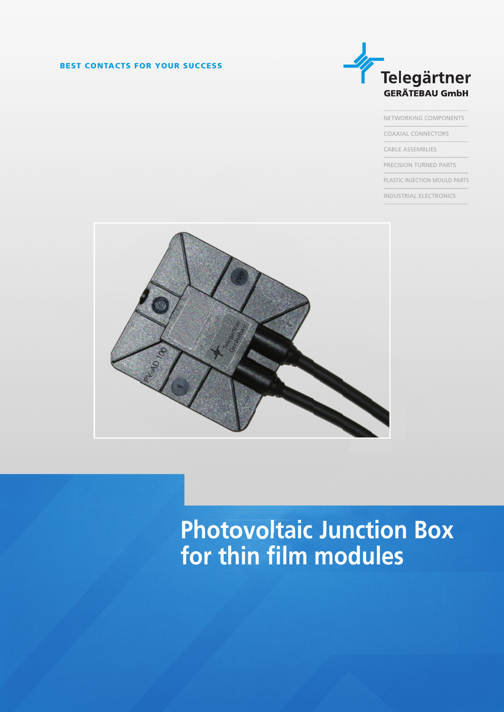## **BEST CONTACTS FOR YOUR SUCCESS**



NETWORKING COMPONENTS COAXIAL CONNECTORS CABLE ASSEMBLIES PRECISION TURNED PARTS PLASTIC INJECTION MOULD PARTS

INDUSTRIAL ELECTRONICS



## **Photovoltaic Junction Box** for thin film modules